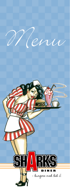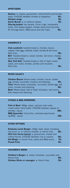#### **APPETIZERS**

| <b>Nachos:</b> w. cheese, guacamole, crème fraiche and tomato |        |
|---------------------------------------------------------------|--------|
| salsa. CHOOSE between chicken or jalapenos.                   | $85 -$ |
| <b>Chicken wings</b>                                          | $39 -$ |
| <b>Garlic Bread:</b> w. or without cheese.                    | $39 -$ |
| Sharing basket: two people. Onion rings, mozzarella           |        |
| sticks, chili cheese toppers, chicken sticks and curly fries. |        |
| W. fromage blanc, BBQ sauce and dip mayo.                     | $85 -$ |
|                                                               |        |

# **SANDWICH´S**

**Club sandwich:** toasted bread w. chicken, bacon, cheese, fried egg, coleslaw, salad, tomato & red onion. With fries. **99,- BLT:** Toasted bread w. salad, tomato, red onion, cheese, bacon and mayo. **60,-New York Deli:** Toasted bread w. filet of beef, mixed salad, port salut, tomato, pickles and mustard. With fries. **99,-**

# **MIXED SALAD'S**

**Chicken/Bacon:** Mixed salad, chicken, bacon, boiled egg, tomato, cucumber, croutons and dressing. **89,- Tuna:** Mixed salad, tunasalad, cucumber, boiled egg, red onion, tomato and dressing. **89,- Beef:** Mixed salad, filet of beef, tomatoes, red onions, feta cheese and dressing. **89,-**

### **STEAKS & BBQ SPARERIBS**

**Filet of Beef:** 300gr. steak, optional side order, mixed salad, herb butter. CHOOSE between pepper or whiskey -sauce. **189,- BBQ Spareribs:** Curly fries, coleslaw,mayonnaise og BBQ - sauce. **159,-**

### **OTHER OPTIONS**

**Kentucky Lunch Burger:** 100gr. beef, salad, tomatoes, red onion, w. or without cheddar. w. french fries. **89,- Chili Con Carne (spicy):** w. guacamole, cheese and crème fraiche. CHOOSE between rice or nachos. **99,- Hot Wings:** w. french fries, salad and BBQ sauce. **79,- French Fries. 45,-**

## **CHILDREN'S MENU**

**Children's Burger:** w. salad, tomatoes, cucumber and french fries. **89,- Chicken Sticks or sausages:** w. french fries. **50,-**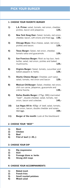## **1- CHOOSE YOUR FAVORITE BURGER**

- **1) L.A. Prime:** salad, tomato, red onion, cheddar, pickles, bacon and jalapenos. **129,-**
- **2) New York Hang Over:** Salad, tomato, red onion, cheddar, bacon, soft onions and fried egg. **139,-**
- **3) Chicago Blues:** Blue cheese, salad, red onion, pickles and bacon. **129,-**
- **4) Texas Burger:** Salad, red onion, cheddar, tomato salsa and guacamole. **129,-**
- **5) San Francisco Burger:** Rösti as top bun, herb butter, salad, red onion, pickles and baked mushrooms. **129,-**
- **6) Virginia Burger:** Salad, tomato, cucumber and baked peppers w. herbs. **129,-**
- **7) Sharks Cheese Burger:** Cheddar, port salut, salad, tomato, red onion and bacon **129,-**
- **8) Mexican Chiliburger:** Salad, cheddar, red onion, chili con carne, jalapenos, guacamole and crème fraiche. **139,-**
- **9) Dallas Double Burger:** 275gr. BBQ-marinated ''beef'', double cheddar, salad, tomato, red onion, bacon and coleslaw. **145,-**
- **10) Las Vegas All-in:** 400gr. of beef, salad, tomato, red onion, bacon, double cheddar and scrambled eggs. **169,-**
- **11) Burger of the month:** Look at the blackboard

### **2- CHOOSE YOUR "BEEF"**

| 1) | Rösti |
|----|-------|
|    |       |

- **2) Chicken**
- **3) Beef**
- **4) Filet of beef (+ 20,-)**

#### **3- CHOOSE YOUR DIP**

- **1) Dip mayonnaise**
- **2) Aioli**
- **3) Fromage blanc w. herbs**
- **4) Strong chili mayo**

# **4- CHOOSE YOUR ACCOMPANIMENTS**

- **1) Baked mash**
- **2) French fries**
- **3) Small roasted potatoes**
- **4) Mixed salad**